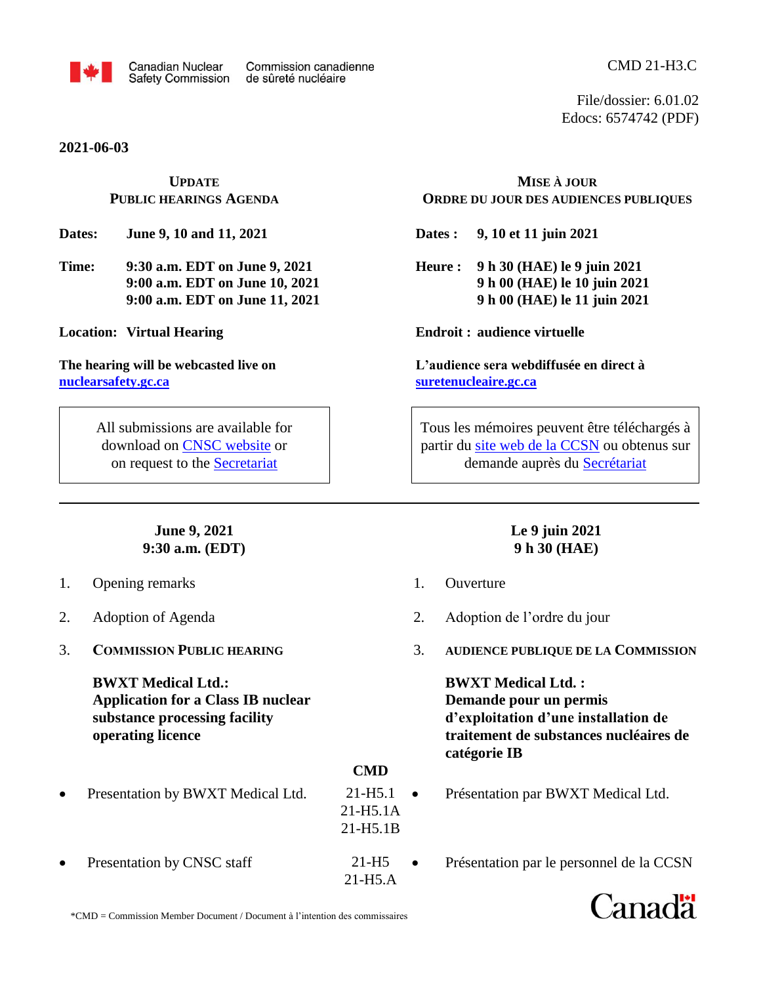

**2021-06-03**

## **UPDATE PUBLIC HEARINGS AGENDA**

**Dates: June 9, 10 and 11, 2021**

**Time: 9:30 a.m. EDT on June 9, 2021 9:00 a.m. EDT on June 10, 2021 9:00 a.m. EDT on June 11, 2021**

**Location: Virtual Hearing**

**The hearing will be webcasted live on [nuclearsafety.gc.ca](http://www.nuclearsafety.gc.ca/)**

> All submissions are available for download on [CNSC website](http://www.nuclearsafety.gc.ca/eng/the-commission/hearings/cmd/index.cfm) or on request to the [Secretariat](mailto:interventions@cnsc-ccsn.gc.ca)

> > **June 9, 2021 9:30 a.m. (EDT)**

- 1. Opening remarks
- 2. Adoption of Agenda
- 3. **COMMISSION PUBLIC HEARING**

**BWXT Medical Ltd.: Application for a Class IB nuclear substance processing facility operating licence**

- Presentation by BWXT Medical Ltd.
- Presentation by CNSC staff

**MISE À JOUR ORDRE DU JOUR DES AUDIENCES PUBLIQUES**

**Dates : 9, 10 et 11 juin 2021**

**Heure : 9 h 30 (HAE) le 9 juin 2021 9 h 00 (HAE) le 10 juin 2021 9 h 00 (HAE) le 11 juin 2021**

**Endroit : audience virtuelle**

**L'audience sera webdiffusée en direct à [suretenucleaire.gc.ca](http://www.suretenucleaire.gc.ca/)**

Tous les mémoires peuvent être téléchargés à partir du site web de [la CCSN](http://www.nuclearsafety.gc.ca/fra/the-commission/hearings/cmd/index.cfm) ou obtenus sur demande auprès du [Secrétariat](mailto:interventions@cnsc-ccsn.gc.ca)

## **Le 9 juin 2021 9 h 30 (HAE)**

1. Ouverture

**CMD**

21-H5.1A 21-H5.1B

21-H5.A

- 2. Adoption de l'ordre du jour
- 3. **AUDIENCE PUBLIQUE DE LA COMMISSION**

**BWXT Medical Ltd. : Demande pour un permis d'exploitation d'une installation de traitement de substances nucléaires de catégorie IB**

- $21-H5.1$   $\bullet$ Présentation par BWXT Medical Ltd.
- 21-H5 Présentation par le personnel de la CCSN



\*CMD = Commission Member Document / Document à l'intention des commissaires

File/dossier: 6.01.02 Edocs: 6574742 (PDF)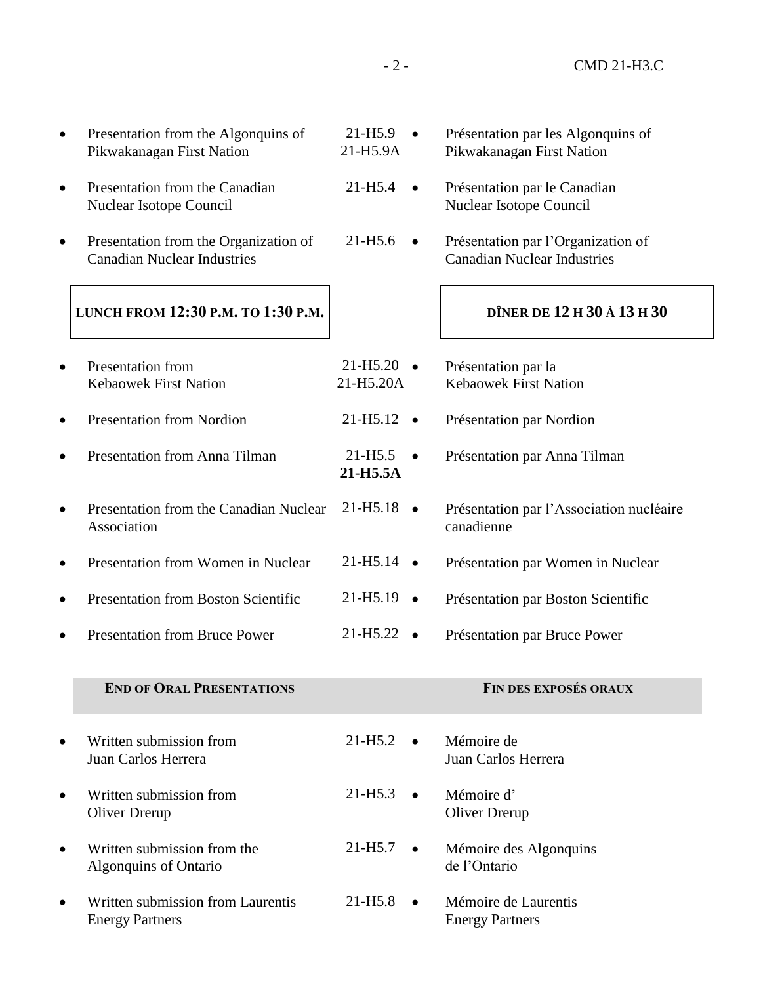| Presentation from the Algonquins of<br>Pikwakanagan First Nation            | $21 - H5.9$<br>21-H5.9A           | Présentation par les Algonquins of<br>Pikwakanagan First Nation          |
|-----------------------------------------------------------------------------|-----------------------------------|--------------------------------------------------------------------------|
| Presentation from the Canadian<br>Nuclear Isotope Council                   | $21 - H5.4$<br>$\bullet$          | Présentation par le Canadian<br>Nuclear Isotope Council                  |
| Presentation from the Organization of<br><b>Canadian Nuclear Industries</b> | 21-H5.6<br>$\bullet$              | Présentation par l'Organization of<br><b>Canadian Nuclear Industries</b> |
| LUNCH FROM 12:30 P.M. TO 1:30 P.M.                                          |                                   | DÎNER DE 12 H 30 À 13 H 30                                               |
| Presentation from<br><b>Kebaowek First Nation</b>                           | $21-H5.20$ $\bullet$<br>21-H5.20A | Présentation par la<br><b>Kebaowek First Nation</b>                      |
| <b>Presentation from Nordion</b>                                            | 21-H <sub>5.12</sub><br>$\bullet$ | Présentation par Nordion                                                 |
| Presentation from Anna Tilman                                               | $21 - H5.5$<br>21-H5.5A           | Présentation par Anna Tilman                                             |
| Presentation from the Canadian Nuclear<br>Association                       | $21 - H5.18$<br>$\bullet$         | Présentation par l'Association nucléaire<br>canadienne                   |
| Presentation from Women in Nuclear                                          | 21-H <sub>5.14</sub>              | Présentation par Women in Nuclear                                        |
| Presentation from Boston Scientific                                         | 21-H <sub>5.19</sub><br>$\bullet$ | Présentation par Boston Scientific                                       |
| <b>Presentation from Bruce Power</b>                                        | 21-H <sub>5.22</sub><br>$\bullet$ | Présentation par Bruce Power                                             |
| <b>END OF ORAL PRESENTATIONS</b>                                            |                                   | <b>FIN DES EXPOSÉS ORAUX</b>                                             |
| Written submission from<br>Juan Carlos Herrera                              | $21 - H5.2$<br>$\bullet$          | Mémoire de<br>Juan Carlos Herrera                                        |
| Written submission from<br><b>Oliver Drerup</b>                             | $21 - H5.3$<br>$\bullet$          | Mémoire d'<br><b>Oliver Drerup</b>                                       |
| Written submission from the<br>Algonquins of Ontario                        | $21 - H5.7$<br>$\bullet$          | Mémoire des Algonquins<br>de l'Ontario                                   |
| Written submission from Laurentis<br><b>Energy Partners</b>                 | $21 - H5.8$                       | Mémoire de Laurentis<br><b>Energy Partners</b>                           |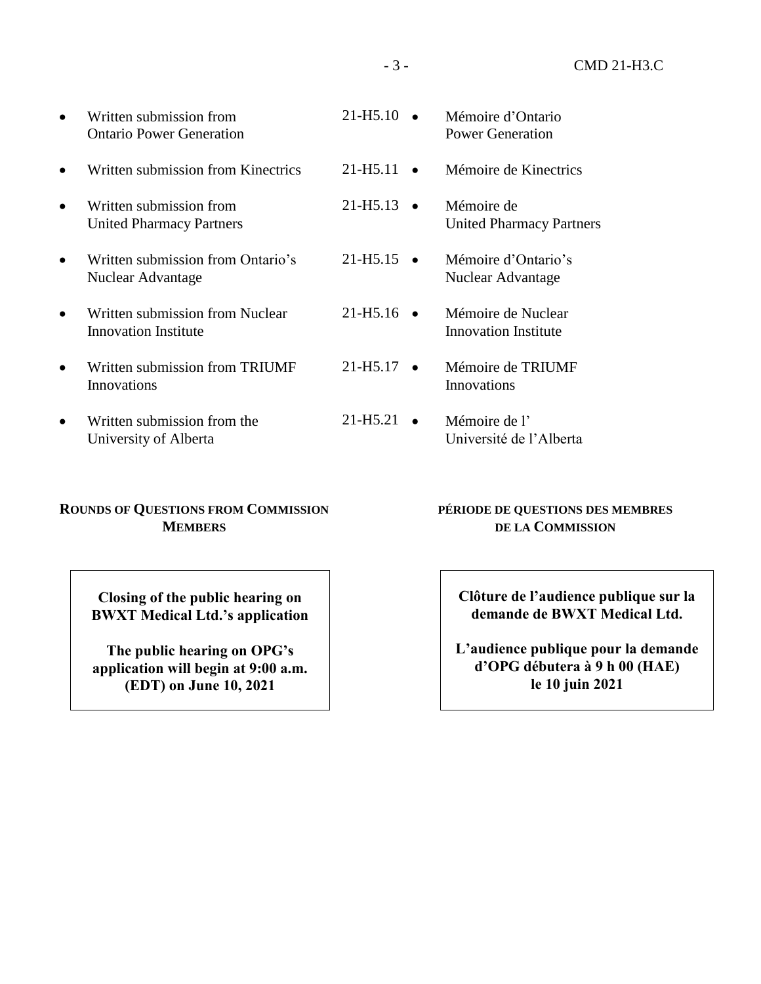|           | Written submission from<br><b>Ontario Power Generation</b>     | $21 - H5.10$                       | Mémoire d'Ontario<br>Power Generation             |
|-----------|----------------------------------------------------------------|------------------------------------|---------------------------------------------------|
|           | Written submission from Kinectrics                             | 21-H <sub>5</sub> .11<br>$\bullet$ | Mémoire de Kinectrics                             |
| $\bullet$ | Written submission from<br><b>United Pharmacy Partners</b>     | $21 - H5.13$ $\bullet$             | Mémoire de<br><b>United Pharmacy Partners</b>     |
|           | Written submission from Ontario's<br>Nuclear Advantage         | $21 - H5.15$ $\bullet$             | Mémoire d'Ontario's<br>Nuclear Advantage          |
|           | Written submission from Nuclear<br><b>Innovation Institute</b> | $21 - H5.16$ $\bullet$             | Mémoire de Nuclear<br><b>Innovation Institute</b> |
| ٠         | Written submission from TRIUMF<br>Innovations                  | 21-H <sub>5</sub> .17<br>$\bullet$ | Mémoire de TRIUMF<br>Innovations                  |
| $\bullet$ | Written submission from the<br>University of Alberta           | 21-H <sub>5.21</sub><br>$\bullet$  | Mémoire de l'<br>Université de l'Alberta          |

## **ROUNDS OF QUESTIONS FROM COMMISSION MEMBERS**

**Closing of the public hearing on BWXT Medical Ltd.'s application**

**The public hearing on OPG's application will begin at 9:00 a.m. (EDT) on June 10, 2021**

## **PÉRIODE DE QUESTIONS DES MEMBRES DE LA COMMISSION**

**Clôture de l'audience publique sur la demande de BWXT Medical Ltd.**

**L'audience publique pour la demande d'OPG débutera à 9 h 00 (HAE) le 10 juin 2021**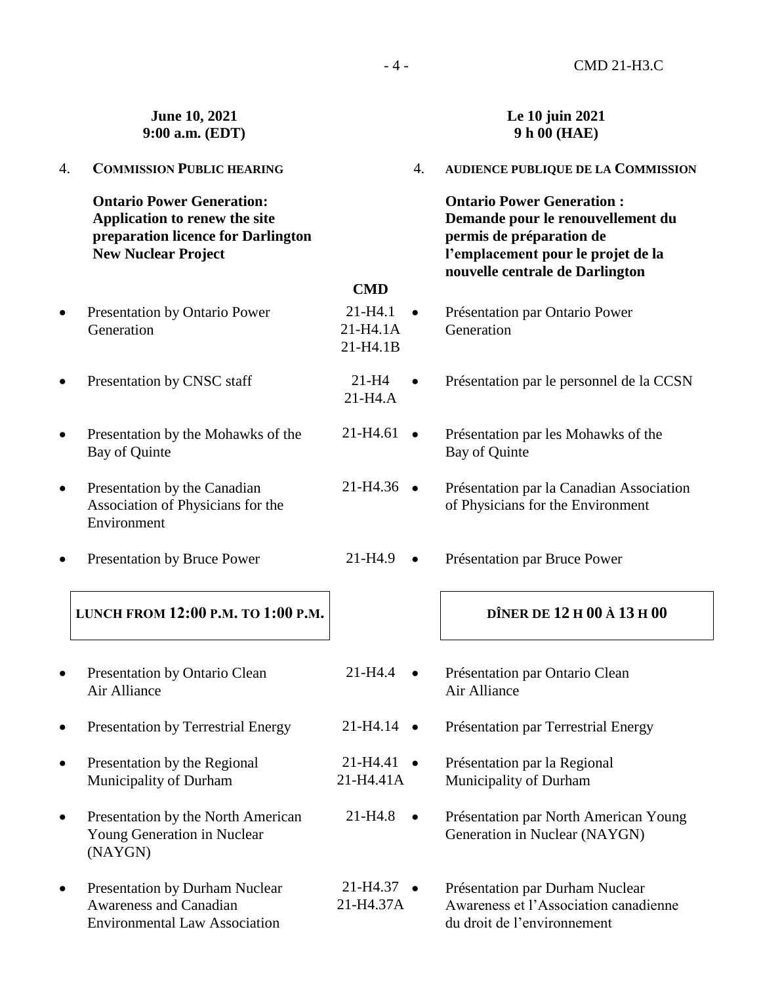|           | <b>June 10, 2021</b><br>9:00 a.m. (EDT)                                                                                               |                                    | Le 10 juin 2021<br>9 h 00 (HAE)                                                                                                                                            |
|-----------|---------------------------------------------------------------------------------------------------------------------------------------|------------------------------------|----------------------------------------------------------------------------------------------------------------------------------------------------------------------------|
| 4.        | <b>COMMISSION PUBLIC HEARING</b>                                                                                                      | 4.                                 | <b>AUDIENCE PUBLIQUE DE LA COMMISSION</b>                                                                                                                                  |
|           | <b>Ontario Power Generation:</b><br>Application to renew the site<br>preparation licence for Darlington<br><b>New Nuclear Project</b> |                                    | <b>Ontario Power Generation:</b><br>Demande pour le renouvellement du<br>permis de préparation de<br>l'emplacement pour le projet de la<br>nouvelle centrale de Darlington |
|           |                                                                                                                                       | <b>CMD</b>                         |                                                                                                                                                                            |
| $\bullet$ | Presentation by Ontario Power<br>Generation                                                                                           | 21-H4.1<br>21-H4.1A<br>$21-H4.1B$  | Présentation par Ontario Power<br>Generation                                                                                                                               |
|           | Presentation by CNSC staff                                                                                                            | $21-H4$<br>$21-H4.A$               | Présentation par le personnel de la CCSN                                                                                                                                   |
| $\bullet$ | Presentation by the Mohawks of the<br>Bay of Quinte                                                                                   | 21-H4.61<br>$\bullet$              | Présentation par les Mohawks of the<br>Bay of Quinte                                                                                                                       |
| $\bullet$ | Presentation by the Canadian<br>Association of Physicians for the<br>Environment                                                      | 21-H4.36<br>$\bullet$              | Présentation par la Canadian Association<br>of Physicians for the Environment                                                                                              |
|           | Presentation by Bruce Power                                                                                                           | $21 - H4.9$                        | Présentation par Bruce Power                                                                                                                                               |
|           | LUNCH FROM 12:00 P.M. TO 1:00 P.M.                                                                                                    |                                    | DÎNER DE 12 H 00 À 13 H 00                                                                                                                                                 |
| $\bullet$ | Presentation by Ontario Clean<br>Air Alliance                                                                                         | 21-H4.4                            | Présentation par Ontario Clean<br>Air Alliance                                                                                                                             |
| $\bullet$ | Presentation by Terrestrial Energy                                                                                                    | 21-H4.14<br>$\bullet$              | Présentation par Terrestrial Energy                                                                                                                                        |
| $\bullet$ | Presentation by the Regional<br>Municipality of Durham                                                                                | 21-H4.41<br>$\bullet$<br>21-H4.41A | Présentation par la Regional<br>Municipality of Durham                                                                                                                     |
| $\bullet$ | Presentation by the North American<br>Young Generation in Nuclear<br>(NAYGN)                                                          | 21-H4.8                            | Présentation par North American Young<br>Generation in Nuclear (NAYGN)                                                                                                     |
| $\bullet$ | Presentation by Durham Nuclear<br><b>Awareness and Canadian</b><br><b>Environmental Law Association</b>                               | 21-H4.37<br>21-H4.37A              | Présentation par Durham Nuclear<br>Awareness et l'Association canadienne<br>du droit de l'environnement                                                                    |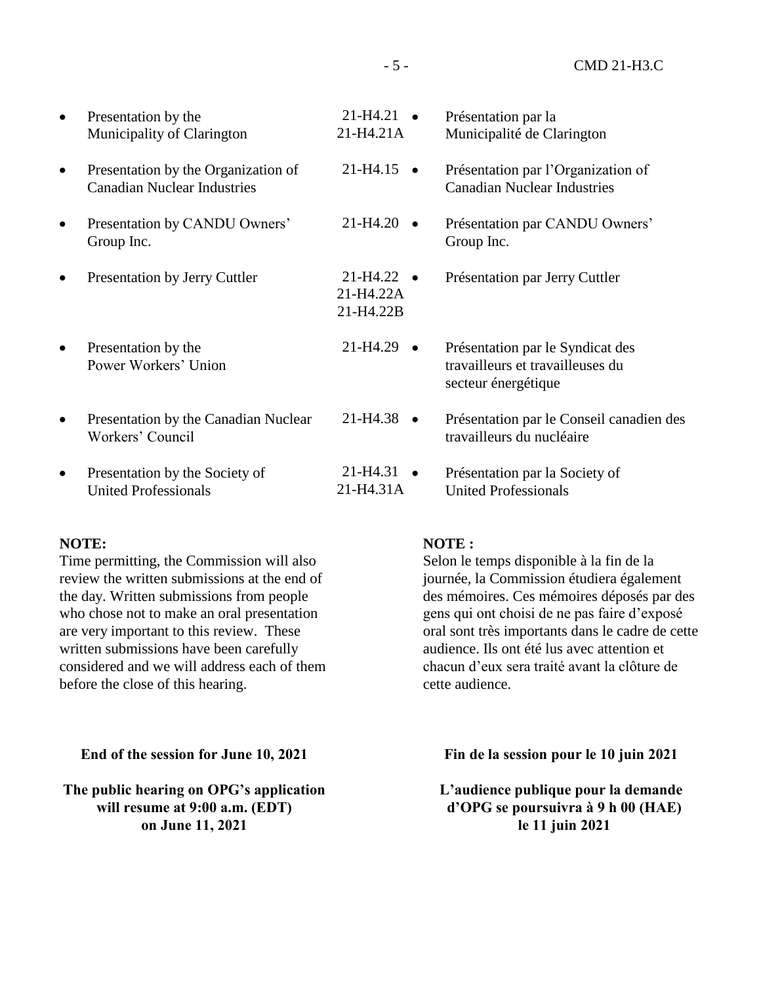• Presentation by the Municipality of Clarington • Presentation by the Organization of Canadian Nuclear Industries • Presentation by CANDU Owners' Group Inc. • Presentation by Jerry Cuttler Presentation by the Power Workers' Union • Presentation by the Canadian Nuclear Workers' Council • Presentation by the Society of United Professionals  $21-H4.21$   $\bullet$ 21-H4.21A Présentation par la Municipalité de Clarington Présentation par l'Organization of Canadian Nuclear Industries Présentation par CANDU Owners' Group Inc. Présentation par Jerry Cuttler Présentation par le Syndicat des travailleurs et travailleuses du secteur énergétique Présentation par le Conseil canadien des travailleurs du nucléaire Présentation par la Society of United Professionals  $21-H4.15$   $\bullet$  $21-H4.20$   $\bullet$  $21 - H4.22$   $\bullet$ 21-H4.22A 21-H4.22B  $21-H4.29$   $\bullet$ 21-H4.38  $21 - H4.31$   $\bullet$ 21-H4.31A

#### **NOTE:**

Time permitting, the Commission will also review the written submissions at the end of the day. Written submissions from people who chose not to make an oral presentation are very important to this review. These written submissions have been carefully considered and we will address each of them before the close of this hearing.

**End of the session for June 10, 2021**

**The public hearing on OPG's application will resume at 9:00 a.m. (EDT) on June 11, 2021**

# **NOTE :**

Selon le temps disponible à la fin de la journée, la Commission étudiera également des mémoires. Ces mémoires déposés par des gens qui ont choisi de ne pas faire d'exposé oral sont très importants dans le cadre de cette audience. Ils ont été lus avec attention et chacun d'eux sera traité avant la clôture de cette audience.

**Fin de la session pour le 10 juin 2021**

**L'audience publique pour la demande d'OPG se poursuivra à 9 h 00 (HAE) le 11 juin 2021**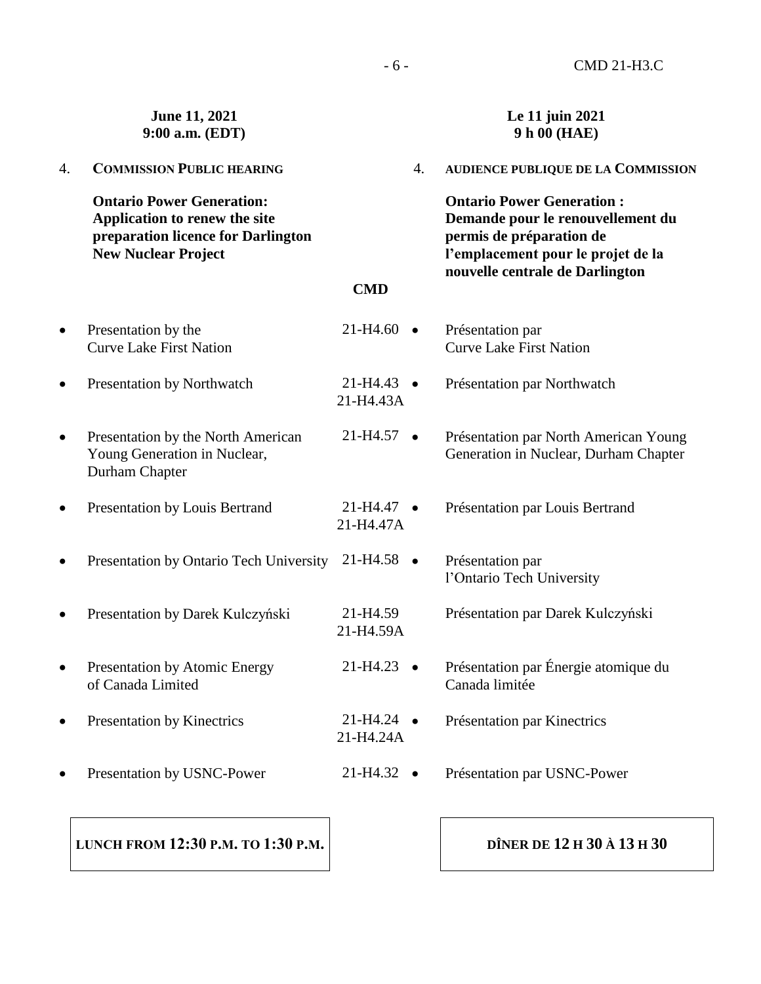|           | June 11, 2021<br>9:00 a.m. (EDT)                                                                                                      |                                   |    | Le 11 juin 2021<br>9 h 00 (HAE)                                                                                                         |
|-----------|---------------------------------------------------------------------------------------------------------------------------------------|-----------------------------------|----|-----------------------------------------------------------------------------------------------------------------------------------------|
| 4.        | <b>COMMISSION PUBLIC HEARING</b>                                                                                                      |                                   | 4. | <b>AUDIENCE PUBLIQUE DE LA COMMISSION</b>                                                                                               |
|           | <b>Ontario Power Generation:</b><br>Application to renew the site<br>preparation licence for Darlington<br><b>New Nuclear Project</b> |                                   |    | <b>Ontario Power Generation:</b><br>Demande pour le renouvellement du<br>permis de préparation de<br>l'emplacement pour le projet de la |
|           |                                                                                                                                       | <b>CMD</b>                        |    | nouvelle centrale de Darlington                                                                                                         |
|           | Presentation by the<br><b>Curve Lake First Nation</b>                                                                                 | 21-H4.60                          |    | Présentation par<br><b>Curve Lake First Nation</b>                                                                                      |
| $\bullet$ | Presentation by Northwatch                                                                                                            | 21-H4.43<br>21-H4.43A             |    | Présentation par Northwatch                                                                                                             |
| $\bullet$ | Presentation by the North American<br>Young Generation in Nuclear,<br>Durham Chapter                                                  | 21-H4.57<br>$\bullet$             |    | Présentation par North American Young<br>Generation in Nuclear, Durham Chapter                                                          |
| $\bullet$ | Presentation by Louis Bertrand                                                                                                        | 21-H4.47<br>21-H4.47A             |    | Présentation par Louis Bertrand                                                                                                         |
| $\bullet$ | Presentation by Ontario Tech University                                                                                               | 21-H4.58<br>$\bullet$             |    | Présentation par<br>l'Ontario Tech University                                                                                           |
|           | Presentation by Darek Kulczyński                                                                                                      | 21-H4.59<br>21-H4.59A             |    | Présentation par Darek Kulczyński                                                                                                       |
| $\bullet$ | Presentation by Atomic Energy<br>of Canada Limited                                                                                    | $21-H4.23$ $\bullet$              |    | Présentation par Énergie atomique du<br>Canada limitée                                                                                  |
| $\bullet$ | Presentation by Kinectrics                                                                                                            | $21-H4.24$ $\bullet$<br>21-H4.24A |    | Présentation par Kinectrics                                                                                                             |
|           | Presentation by USNC-Power                                                                                                            | $21-H4.32$ $\bullet$              |    | Présentation par USNC-Power                                                                                                             |
|           |                                                                                                                                       |                                   |    |                                                                                                                                         |

**LUNCH FROM 12:30 P.M. TO 1:30 P.M.**

**DÎNER DE 12 H 30 À 13 H 30**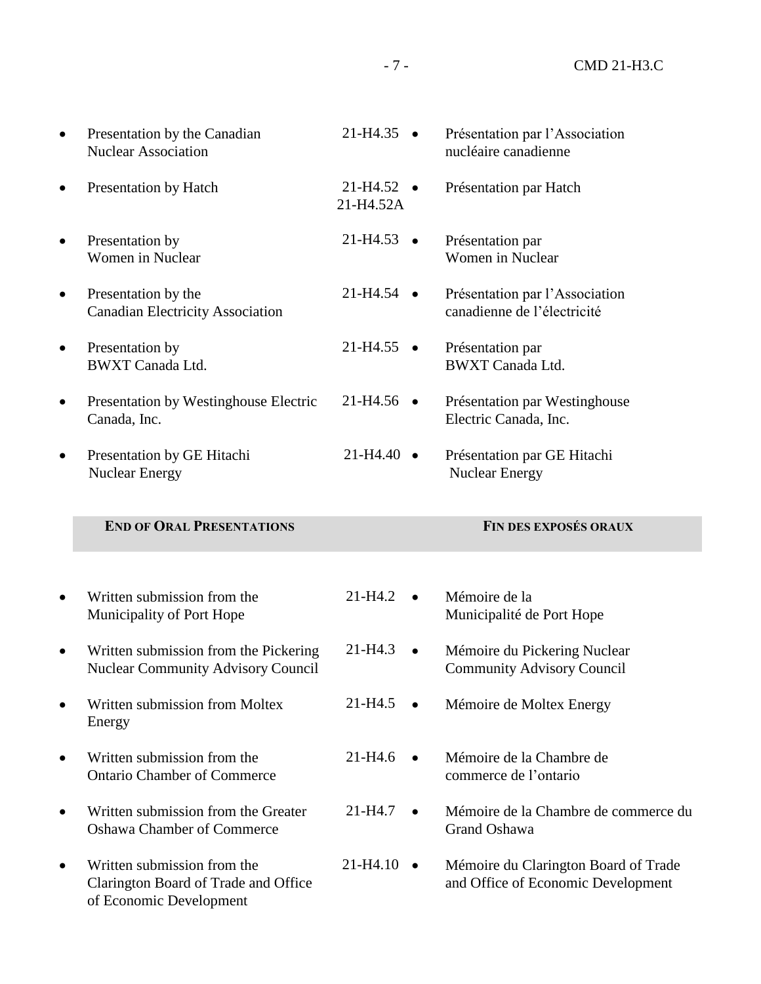|           | Presentation by the Canadian<br><b>Nuclear Association</b>                         | $21-H4.35$ $\bullet$      | Présentation par l'Association<br>nucléaire canadienne            |
|-----------|------------------------------------------------------------------------------------|---------------------------|-------------------------------------------------------------------|
|           | Presentation by Hatch                                                              | $21-H4.52$ •<br>21-H4.52A | Présentation par Hatch                                            |
|           | Presentation by<br><b>Women</b> in Nuclear                                         | $21-H4.53$ $\bullet$      | Présentation par<br><b>Women</b> in Nuclear                       |
|           | Presentation by the<br><b>Canadian Electricity Association</b>                     | $21-H4.54$ $\bullet$      | Présentation par l'Association<br>canadienne de l'électricité     |
|           | Presentation by<br><b>BWXT</b> Canada Ltd.                                         | $21-H4.55$ $\bullet$      | Présentation par<br><b>BWXT</b> Canada Ltd.                       |
| $\bullet$ | Presentation by Westinghouse Electric<br>Canada, Inc.                              | $21-H4.56$ •              | Présentation par Westinghouse<br>Electric Canada, Inc.            |
|           | Presentation by GE Hitachi<br><b>Nuclear Energy</b>                                | $21-H4.40$ $\bullet$      | Présentation par GE Hitachi<br><b>Nuclear Energy</b>              |
|           | <b>END OF ORAL PRESENTATIONS</b>                                                   |                           | <b>FIN DES EXPOSÉS ORAUX</b>                                      |
|           |                                                                                    |                           |                                                                   |
|           |                                                                                    |                           |                                                                   |
|           | Written submission from the<br>Municipality of Port Hope                           | $21 - H4.2$<br>$\bullet$  | Mémoire de la<br>Municipalité de Port Hope                        |
|           | Written submission from the Pickering<br><b>Nuclear Community Advisory Council</b> | 21-H4.3                   | Mémoire du Pickering Nuclear<br><b>Community Advisory Council</b> |
|           | Written submission from Moltex<br>Energy                                           | $21 - H4.5$               | Mémoire de Moltex Energy                                          |
|           | Written submission from the<br><b>Ontario Chamber of Commerce</b>                  | $21 - H4.6$<br>$\bullet$  | Mémoire de la Chambre de<br>commerce de l'ontario                 |
|           | Written submission from the Greater<br><b>Oshawa Chamber of Commerce</b>           | 21-H4.7                   | Mémoire de la Chambre de commerce du<br><b>Grand Oshawa</b>       |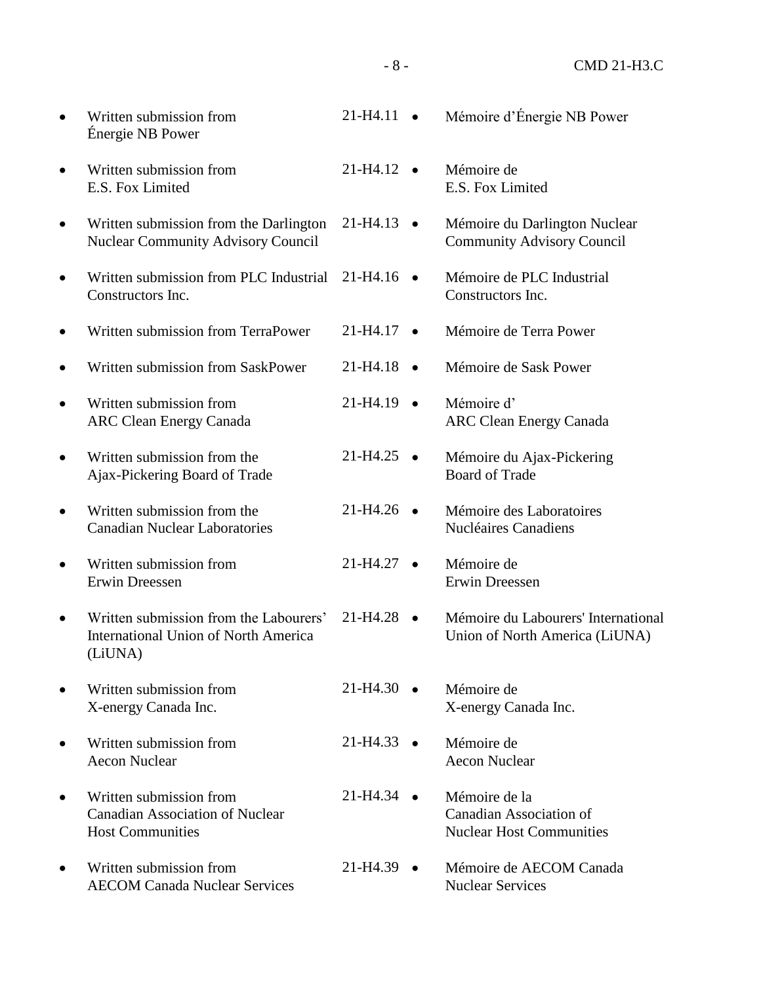|           | Written submission from<br>Énergie NB Power                                                      | 21-H4.11             | $\bullet$ | Mémoire d'Énergie NB Power                                                         |
|-----------|--------------------------------------------------------------------------------------------------|----------------------|-----------|------------------------------------------------------------------------------------|
|           | Written submission from<br>E.S. Fox Limited                                                      | $21-H4.12$ •         |           | Mémoire de<br>E.S. Fox Limited                                                     |
| ٠         | Written submission from the Darlington<br><b>Nuclear Community Advisory Council</b>              | 21-H4.13             | $\bullet$ | Mémoire du Darlington Nuclear<br><b>Community Advisory Council</b>                 |
|           | Written submission from PLC Industrial<br>Constructors Inc.                                      | 21-H4.16             |           | Mémoire de PLC Industrial<br>Constructors Inc.                                     |
|           | Written submission from TerraPower                                                               | 21-H4.17             | $\bullet$ | Mémoire de Terra Power                                                             |
|           | Written submission from SaskPower                                                                | 21-H4.18             |           | Mémoire de Sask Power                                                              |
| $\bullet$ | Written submission from<br><b>ARC Clean Energy Canada</b>                                        | 21-H4.19             | $\bullet$ | Mémoire d'<br><b>ARC Clean Energy Canada</b>                                       |
|           | Written submission from the<br>Ajax-Pickering Board of Trade                                     | 21-H4.25             |           | Mémoire du Ajax-Pickering<br><b>Board of Trade</b>                                 |
| ٠         | Written submission from the<br><b>Canadian Nuclear Laboratories</b>                              | $21-H4.26$ •         |           | Mémoire des Laboratoires<br><b>Nucléaires Canadiens</b>                            |
|           | Written submission from<br><b>Erwin Dreessen</b>                                                 | 21-H4.27             | $\bullet$ | Mémoire de<br><b>Erwin Dreessen</b>                                                |
|           | Written submission from the Labourers'<br><b>International Union of North America</b><br>(LiUNA) | 21-H4.28             | $\bullet$ | Mémoire du Labourers' International<br>Union of North America (LiUNA)              |
|           | Written submission from<br>X-energy Canada Inc.                                                  | 21-H4.30             |           | Mémoire de<br>X-energy Canada Inc.                                                 |
|           | Written submission from<br><b>Aecon Nuclear</b>                                                  | $21-H4.33$ $\bullet$ |           | Mémoire de<br><b>Aecon Nuclear</b>                                                 |
|           | Written submission from<br><b>Canadian Association of Nuclear</b><br><b>Host Communities</b>     | 21-H4.34             |           | Mémoire de la<br><b>Canadian Association of</b><br><b>Nuclear Host Communities</b> |
|           | Written submission from<br><b>AECOM Canada Nuclear Services</b>                                  | 21-H4.39             |           | Mémoire de AECOM Canada<br><b>Nuclear Services</b>                                 |